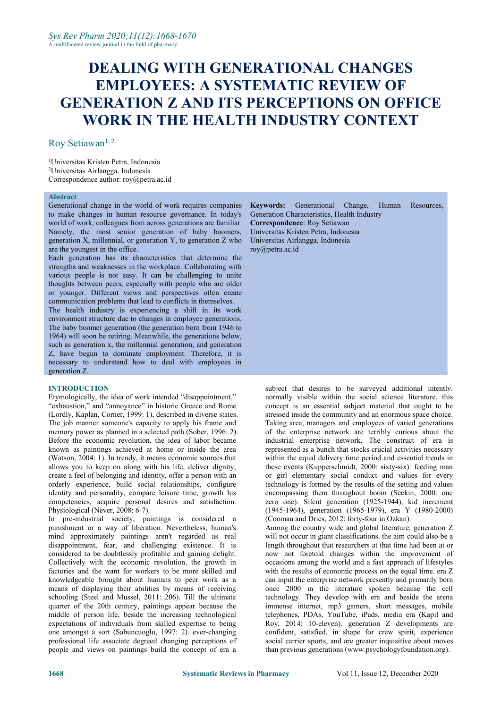# **DEALING WITH GENERATIONAL CHANGES EMPLOYEES: A SYSTEMATIC REVIEW OF GENERATION Z AND ITS PERCEPTIONS ON OFFICE WORK IN THE HEALTH INDUSTRY CONTEXT**

### Roy Setiawan<sup>1, 2</sup>

<sup>1</sup>Universitas Kristen Petra, Indonesia <sup>2</sup>Universitas Airlangga, Indonesia Correspondence author: [roy@petra.ac.id](mailto:roy@petra.ac.id)

#### **Abstract**

Generational change in the world of work requires companies to make changes in human resource governance. In today's world of work, colleagues from across generations are familiar.<br>Namely, the most senior generation of baby boomers, generation X, millennial, or generation Y, to generation Z who are the youngest in the office.

Each generation has its characteristics that determine the strengths and weaknesses in the workplace. Collaborating with various people is not easy. It can be challenging to unite thoughts between peers, especially with people who are older or younger. Different views and perspectives often create communication problems that lead to conflicts in themselves.

The health industry is experiencing a shift in its work environment structure due to changes in employee generations. The baby boomer generation (the generation born from 1946 to 1964) will soon be retiring. Meanwhile, the generations below, such as generation x, the millennial generation, and generation Z, have begun to dominate employment. Therefore, it is necessary to understand how to deal with employees in generation Z.

#### **INTRODUCTION**

Etymologically, the idea of work intended "disappointment," "exhaustion," and "annoyance" in historic Greece and Rome (Lordly, Kaplan, Corner, 1999: 1), described in diverse states. The job manner someone's capacity to apply his frame and memory power as planned in a selected path (Sober, 1996: 2). Before the economic revolution, the idea of labor became known as paintings achieved at home or inside the area (Watson,  $2004:1$ ). In trendy, it means economic sources that allows you to keep on along with his life, deliver dignity, create a feel of belonging and identity, offer a person with an orderly experience, build social relationships, configure identity and personality, compare leisure time, growth his competencies, acquire personal desires and satisfaction. Physiological (Never, 2008: 6-7).

In pre-industrial society, paintings is considered a punishment or a way of liberation. Nevertheless, human's mind approximately paintings aren't regarded as real disappointment, fear, and challenging existence. It is considered to be doubtlessly profitable and gaining delight. Collectively with the economic revolution, the growth in factories and the want for workers to be more skilled and knowledgeable brought about humans to peer work as a means of displaying their abilities by means of receiving schooling (Steel and Mussel, 2011: 206). Till the ultimate quarter of the 20th century, paintings appear because the middle of person life, beside the increasing technological expectations of individuals from skilled expertise to being one amongst a sort (Sabuncuoglu, 1997: 2). ever-changing professional life associate degreed changing perceptions of people and views on paintings build the concept of era a

**Keywords:** Generational Change, Human Resources, Generation Characteristics, Health Industry **Correspondence**: Roy Setiawan Universitas Kristen Petra, Indonesia Universitas Airlangga, Indonesia [roy@petra.ac.id](mailto:roy@petra.ac.id)

subject that desires to be surveyed additional intently. normally visible within the social science literature, this concept is an essential subject material that ought to be stressed inside the community and an enormous space choice. Taking area, managers and employees of varied generations of the enterprise network are terribly curious about the industrial enterprise network. The construct of era is represented as a bunch that stocks crucial activities necessary within the equal delivery time period and essential trends in these events (Kupperschmidt, 2000: sixty-six). feeding man or girl elementary social conduct and values for every technology is formed by the results of the setting and values encompassing them throughout boom (Seckin, 2000: one zero one). Silent generation (1925-1944), kid increment (1945-1964), generation (1965-1979), era Y (1980-2000) (Cooman and Dries, 2012: forty-four in Ozkan).

Among the country wide and global literature, generation Z will not occur in giant classifications. the aim could also be a length throughout that researchers at that time had been at or now not foretold changes within the improvement of occasions among the world and a fast approach of lifestyles with the results of economic process on the equal time. era  $Z$ can input the enterprise network presently and primarily born once 2000 in the literature spoken because the cell technology. They develop with era and beside the arena immense internet, mp3 gamers, short messages, mobile telephones, PDAs, YouTube, iPads, media era (Kapil and Roy, 2014: 10-eleven). generation Z developments are confident, satisfied, in shape for crew spirit, experience social carrier sports, and are greater inquisitive about moves than previous generations [\(www.psychologyfoundation.org\)](http://www.psychologyfoundation.org).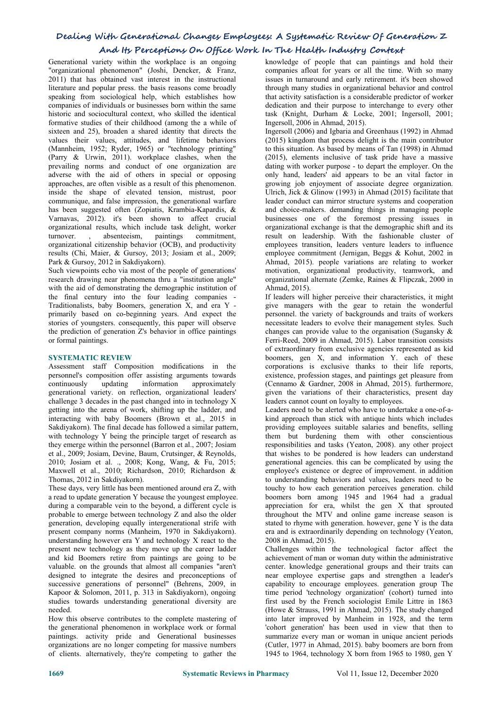## **Dealing With Generational Changes Employees: A Systematic Review Of Generation Z And Its Perceptions On Office Work In The Health Industry Context**

Generational variety within the workplace is an ongoing "organizational phenomenon" (Joshi, Dencker, & Franz, 2011) that has obtained vast interest in the instructional literature and popular press. the basis reasons come broadly speaking from sociological help, which establishes how companies of individuals or businesses born within the same historic and sociocultural context, who skilled the identical formative studies of their childhood (among the a while of sixteen and 25), broaden a shared identity that directs the values their values, attitudes, and lifetime behaviors (Mannheim, 1952; Ryder, 1965) or "technology printing" (Parry & Urwin, 2011). workplace clashes, when the prevailing norms and conduct of one organization are adverse with the aid of others in special or opposing approaches, are often visible as a result of this phenomenon. inside the shape of elevated tension, mistrust, poor communique, and false impression, the generational warfare has been suggested often (Zopiatis, Krambia-Kapardis, & Varnavas, 2012). it's been shown to affect crucial organizational results, which include task delight, worker turnover. , absenteeism, paintings commitment, organizational citizenship behavior (OCB), and productivity results (Chi, Maier, & Gursoy, 2013; Josiam et al., 2009; Park & Gursoy, 2012 in Sakdiyakorn).

Such viewpoints echo via most of the people of generations' research drawing near phenomena thru a "institution angle" with the aid of demonstrating the demographic institution of the final century into the four leading companies -Traditionalists, baby Boomers, generation X, and era <sup>Y</sup> -primarily based on co-beginning years. And expect the stories of youngsters. consequently, this paper will observe the prediction of generation Z's behavior in office paintings or formal paintings.

#### **SYSTEMATIC REVIEW**

Assessment staff Composition modifications in the personnel's composition offer assisting arguments towards continuously updating information approximately generational variety. on reflection, organizational leaders' challenge 3 decades in the past changed into in technology X leaders cannot count on lovalty to employees. getting into the arena of work, shifting up the ladder, and interacting with baby Boomers (Brown et al., 2015 in Sakdiyakorn). The final decade has followed a similar pattern, with technology Y being the principle target of research as they emerge within the personnel (Barron et al., 2007; Josiam et al., 2009; Josiam, Devine, Baum, Crutsinger, & Reynolds, 2010; Josiam et al. ., 2008; Kong, Wang, & Fu, 2015; Maxwell et al., 2010; Richardson, 2010; Richardson & Thomas, 2012 in Sakdiyakorn).

These days, very little has been mentioned around era Z, with a read to update generation Y because the youngest employee.<br>during a comparable vein to the beyond, a different cycle is probable to emerge between technology Z and also the older generation, developing equally intergenerational strife with present company norms (Manheim, 1970 in Sakdiyakorn). understanding however era Y and technology X react to the present new technology as they move up the career ladder and kid Boomers retire from paintings are going to be valuable. on the grounds that almost all companies "aren't designed to integrate the desires and preconceptions of successive generations of personnel" (Behrens, 2009, in Kapoor & Solomon, 2011, p. 313 in Sakdiyakorn), ongoing studies towards understanding generational diversity are needed.

How this observe contributes to the complete mastering of the generational phenomenon in workplace work or formal paintings. activity pride and Generational businesses organizations are no longer competing for massive numbers of clients. alternatively, they're competing to gather the

knowledge of people that can paintings and hold their companies afloat for years or all the time. With so many issues in turnaround and early retirement. it's been showed through many studies in organizational behavior and control that activity satisfaction is a considerable predictor of worker dedication and their purpose to interchange to every other task (Knight, Durham & Locke, 2001; Ingersoll, 2001; Ingersoll, 2006 in Ahmad, 2015).

Ingersoll (2006) and Igbaria and Greenhaus (1992) in Ahmad (2015) kingdom that process delight is the main contributor to this situation. As based by means of Tan (1998) in Ahmad (2015), elements inclusive of task pride have a massive dating with worker purpose - to depart the employer. On the only hand, leaders' aid appears to be an vital factor in growing job enjoyment of associate degree organization. Ulrich, Jick & Glinow (1993) in Ahmad (2015) facilitate that leader conduct can mirror structure systems and cooperation and choice-makers. demanding things in managing people businesses one of the foremost pressing issues in organizational exchange isthat the demographic shift and its result on leadership. With the fashionable cluster of employees transition, leaders venture leaders to influence employee commitment (Jernigan, Beggs & Kohut, 2002 in Ahmad, 2015). people variations are relating to worker motivation, organizational productivity, teamwork, and organizational alternate (Zemke, Raines & Flipczak, 2000 in Ahmad, 2015).

If leaders will higher perceive their characteristics, it might give managers with the gear to retain the wonderful personnel. the variety of backgrounds and traits of workers necessitate leaders to evolve their management styles. Such changes can provide value to the organisation (Sugansky & Ferri-Reed, 2009 in Ahmad, 2015). Labor transition consists of extraordinary from exclusive agencies represented as kid boomers, gen X, and information Y. each of these corporations is exclusive thanks to their life reports, existence, profession stages, and paintings get pleasure from (Cennamo & Gardner, 2008 in Ahmad, 2015). furthermore, given the variations of their characteristics, present day

Leaders need to be alerted who have to undertake a one-of-akind approach than stick with antique hints which includes providing employees suitable salaries and benefits, selling them but burdening them with other conscientious responsibilities and tasks (Yeaton, 2008). any other project that wishes to be pondered is how leaders can understand generational agencies. this can be complicated by using the employee's existence or degree of improvement. in addition to understanding behaviors and values, leaders need to be touchy to how each generation perceives generation. child boomers born among 1945 and 1964 had a gradual appreciation for era, whilst the gen  $X$  that sprouted throughout the MTV and online game increase season is stated to rhyme with generation. however, gene Y is the data era and is extraordinarily depending on technology (Yeaton, 2008 in Ahmad, 2015).

Challenges within the technological factor affect the achievement of man or woman duty within the administrative center. knowledge generational groups and their traits can near employee expertise gaps and strengthen a leader's capability to encourage employees. generation group The time period 'technology organization' (cohort) turned into first used by the French sociologist Emile Littre in 1863 (Howe & Strauss, 1991 in Ahmad, 2015). The study changed into later improved by Manheim in 1928, and the term 'cohort generation' has been used in view that then to summarize every man or woman in unique ancient periods (Cutler, 1977 in Ahmad, 2015). baby boomers are born from 1945 to 1964, technology X born from 1965 to 1980, gen Y